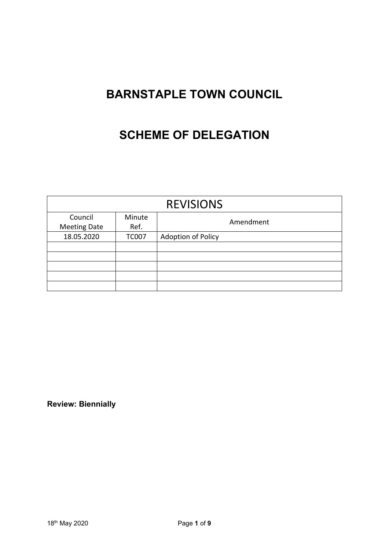# **BARNSTAPLE TOWN COUNCIL**

## **SCHEME OF DELEGATION**

| <b>REVISIONS</b>    |              |                           |
|---------------------|--------------|---------------------------|
| Council             | Minute       | Amendment                 |
| <b>Meeting Date</b> | Ref.         |                           |
| 18.05.2020          | <b>TC007</b> | <b>Adoption of Policy</b> |
|                     |              |                           |
|                     |              |                           |
|                     |              |                           |
|                     |              |                           |
|                     |              |                           |

**Review: Biennially**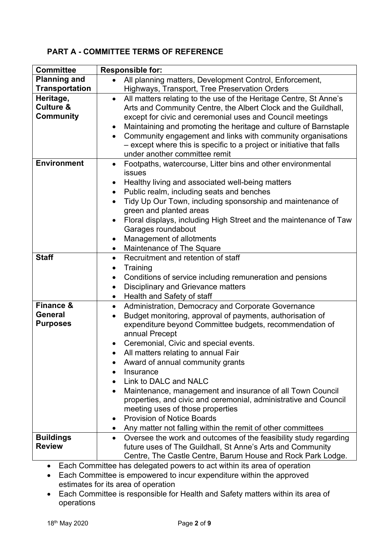## **PART A - COMMITTEE TERMS OF REFERENCE**

| <b>Committee</b>                                          | <b>Responsible for:</b>                                                                                                                                                                                                                                                                                                                                                                                                                                                                                                                                                                                                                                                                          |  |  |
|-----------------------------------------------------------|--------------------------------------------------------------------------------------------------------------------------------------------------------------------------------------------------------------------------------------------------------------------------------------------------------------------------------------------------------------------------------------------------------------------------------------------------------------------------------------------------------------------------------------------------------------------------------------------------------------------------------------------------------------------------------------------------|--|--|
| <b>Planning and</b>                                       | All planning matters, Development Control, Enforcement,                                                                                                                                                                                                                                                                                                                                                                                                                                                                                                                                                                                                                                          |  |  |
| <b>Transportation</b>                                     | Highways, Transport, Tree Preservation Orders                                                                                                                                                                                                                                                                                                                                                                                                                                                                                                                                                                                                                                                    |  |  |
| Heritage,<br><b>Culture &amp;</b><br><b>Community</b>     | All matters relating to the use of the Heritage Centre, St Anne's<br>$\bullet$<br>Arts and Community Centre, the Albert Clock and the Guildhall,<br>except for civic and ceremonial uses and Council meetings<br>Maintaining and promoting the heritage and culture of Barnstaple<br>Community engagement and links with community organisations<br>- except where this is specific to a project or initiative that falls<br>under another committee remit                                                                                                                                                                                                                                       |  |  |
| <b>Environment</b>                                        | Footpaths, watercourse, Litter bins and other environmental<br>$\bullet$<br><b>issues</b><br>Healthy living and associated well-being matters<br>٠<br>Public realm, including seats and benches<br>$\bullet$<br>Tidy Up Our Town, including sponsorship and maintenance of<br>green and planted areas                                                                                                                                                                                                                                                                                                                                                                                            |  |  |
|                                                           | Floral displays, including High Street and the maintenance of Taw<br>Garages roundabout<br>Management of allotments<br>$\bullet$<br>Maintenance of The Square<br>$\bullet$                                                                                                                                                                                                                                                                                                                                                                                                                                                                                                                       |  |  |
| <b>Staff</b>                                              | Recruitment and retention of staff<br>$\bullet$<br>Training<br>٠<br>Conditions of service including remuneration and pensions<br>$\bullet$<br><b>Disciplinary and Grievance matters</b><br>Health and Safety of staff<br>$\bullet$                                                                                                                                                                                                                                                                                                                                                                                                                                                               |  |  |
| <b>Finance &amp;</b><br><b>General</b><br><b>Purposes</b> | Administration, Democracy and Corporate Governance<br>$\bullet$<br>Budget monitoring, approval of payments, authorisation of<br>$\bullet$<br>expenditure beyond Committee budgets, recommendation of<br>annual Precept<br>Ceremonial, Civic and special events.<br>All matters relating to annual Fair<br>Award of annual community grants<br>Insurance<br>$\bullet$<br>Link to DALC and NALC<br>Maintenance, management and insurance of all Town Council<br>$\bullet$<br>properties, and civic and ceremonial, administrative and Council<br>meeting uses of those properties<br><b>Provision of Notice Boards</b><br>$\bullet$<br>Any matter not falling within the remit of other committees |  |  |
| <b>Buildings</b><br><b>Review</b>                         | Oversee the work and outcomes of the feasibility study regarding<br>$\bullet$<br>future uses of The Guildhall, St Anne's Arts and Community<br>Centre, The Castle Centre, Barum House and Rock Park Lodge.                                                                                                                                                                                                                                                                                                                                                                                                                                                                                       |  |  |

• Each Committee has delegated powers to act within its area of operation

- Each Committee is empowered to incur expenditure within the approved estimates for its area of operation
- Each Committee is responsible for Health and Safety matters within its area of operations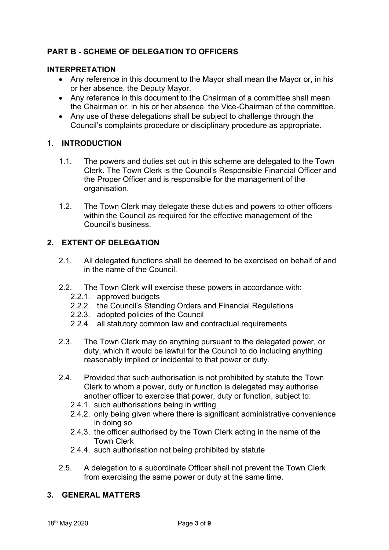## **PART B - SCHEME OF DELEGATION TO OFFICERS**

#### **INTERPRETATION**

- Any reference in this document to the Mayor shall mean the Mayor or, in his or her absence, the Deputy Mayor.
- Any reference in this document to the Chairman of a committee shall mean the Chairman or, in his or her absence, the Vice-Chairman of the committee.
- Any use of these delegations shall be subject to challenge through the Council's complaints procedure or disciplinary procedure as appropriate.

#### **1. INTRODUCTION**

- 1.1. The powers and duties set out in this scheme are delegated to the Town Clerk. The Town Clerk is the Council's Responsible Financial Officer and the Proper Officer and is responsible for the management of the organisation.
- 1.2. The Town Clerk may delegate these duties and powers to other officers within the Council as required for the effective management of the Council's business.

#### **2. EXTENT OF DELEGATION**

- 2.1. All delegated functions shall be deemed to be exercised on behalf of and in the name of the Council.
- 2.2. The Town Clerk will exercise these powers in accordance with:
	- 2.2.1. approved budgets
	- 2.2.2. the Council's Standing Orders and Financial Regulations
	- 2.2.3. adopted policies of the Council
	- 2.2.4. all statutory common law and contractual requirements
- 2.3. The Town Clerk may do anything pursuant to the delegated power, or duty, which it would be lawful for the Council to do including anything reasonably implied or incidental to that power or duty.
- 2.4. Provided that such authorisation is not prohibited by statute the Town Clerk to whom a power, duty or function is delegated may authorise another officer to exercise that power, duty or function, subject to:
	- 2.4.1. such authorisations being in writing
	- 2.4.2. only being given where there is significant administrative convenience in doing so
	- 2.4.3. the officer authorised by the Town Clerk acting in the name of the Town Clerk
	- 2.4.4. such authorisation not being prohibited by statute
- 2.5. A delegation to a subordinate Officer shall not prevent the Town Clerk from exercising the same power or duty at the same time.

#### **3. GENERAL MATTERS**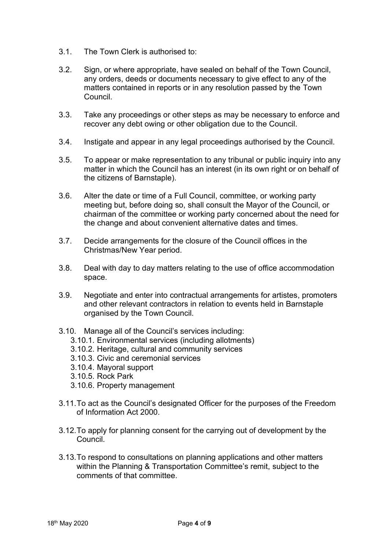- 3.1. The Town Clerk is authorised to:
- 3.2. Sign, or where appropriate, have sealed on behalf of the Town Council, any orders, deeds or documents necessary to give effect to any of the matters contained in reports or in any resolution passed by the Town Council.
- 3.3. Take any proceedings or other steps as may be necessary to enforce and recover any debt owing or other obligation due to the Council.
- 3.4. Instigate and appear in any legal proceedings authorised by the Council.
- 3.5. To appear or make representation to any tribunal or public inquiry into any matter in which the Council has an interest (in its own right or on behalf of the citizens of Barnstaple).
- 3.6. Alter the date or time of a Full Council, committee, or working party meeting but, before doing so, shall consult the Mayor of the Council, or chairman of the committee or working party concerned about the need for the change and about convenient alternative dates and times.
- 3.7. Decide arrangements for the closure of the Council offices in the Christmas/New Year period.
- 3.8. Deal with day to day matters relating to the use of office accommodation space.
- 3.9. Negotiate and enter into contractual arrangements for artistes, promoters and other relevant contractors in relation to events held in Barnstaple organised by the Town Council.
- 3.10. Manage all of the Council's services including:
	- 3.10.1. Environmental services (including allotments)
	- 3.10.2. Heritage, cultural and community services
	- 3.10.3. Civic and ceremonial services
	- 3.10.4. Mayoral support
	- 3.10.5. Rock Park
	- 3.10.6. Property management
- 3.11.To act as the Council's designated Officer for the purposes of the Freedom of Information Act 2000.
- 3.12.To apply for planning consent for the carrying out of development by the Council.
- 3.13.To respond to consultations on planning applications and other matters within the Planning & Transportation Committee's remit, subject to the comments of that committee.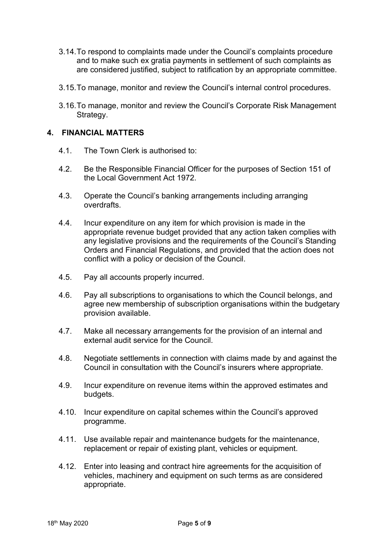- 3.14.To respond to complaints made under the Council's complaints procedure and to make such ex gratia payments in settlement of such complaints as are considered justified, subject to ratification by an appropriate committee.
- 3.15.To manage, monitor and review the Council's internal control procedures.
- 3.16.To manage, monitor and review the Council's Corporate Risk Management Strategy.

#### **4. FINANCIAL MATTERS**

- 4.1. The Town Clerk is authorised to:
- 4.2. Be the Responsible Financial Officer for the purposes of Section 151 of the Local Government Act 1972.
- 4.3. Operate the Council's banking arrangements including arranging overdrafts.
- 4.4. Incur expenditure on any item for which provision is made in the appropriate revenue budget provided that any action taken complies with any legislative provisions and the requirements of the Council's Standing Orders and Financial Regulations, and provided that the action does not conflict with a policy or decision of the Council.
- 4.5. Pay all accounts properly incurred.
- 4.6. Pay all subscriptions to organisations to which the Council belongs, and agree new membership of subscription organisations within the budgetary provision available.
- 4.7. Make all necessary arrangements for the provision of an internal and external audit service for the Council.
- 4.8. Negotiate settlements in connection with claims made by and against the Council in consultation with the Council's insurers where appropriate.
- 4.9. Incur expenditure on revenue items within the approved estimates and budgets.
- 4.10. Incur expenditure on capital schemes within the Council's approved programme.
- 4.11. Use available repair and maintenance budgets for the maintenance, replacement or repair of existing plant, vehicles or equipment.
- 4.12. Enter into leasing and contract hire agreements for the acquisition of vehicles, machinery and equipment on such terms as are considered appropriate.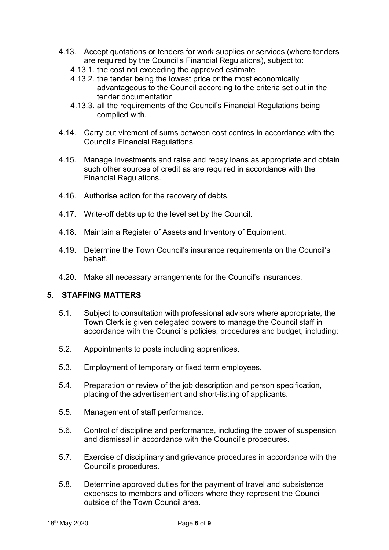- 4.13. Accept quotations or tenders for work supplies or services (where tenders are required by the Council's Financial Regulations), subject to:
	- 4.13.1. the cost not exceeding the approved estimate
	- 4.13.2. the tender being the lowest price or the most economically advantageous to the Council according to the criteria set out in the tender documentation
	- 4.13.3. all the requirements of the Council's Financial Regulations being complied with.
- 4.14. Carry out virement of sums between cost centres in accordance with the Council's Financial Regulations.
- 4.15. Manage investments and raise and repay loans as appropriate and obtain such other sources of credit as are required in accordance with the Financial Regulations.
- 4.16. Authorise action for the recovery of debts.
- 4.17. Write-off debts up to the level set by the Council.
- 4.18. Maintain a Register of Assets and Inventory of Equipment.
- 4.19. Determine the Town Council's insurance requirements on the Council's behalf.
- 4.20. Make all necessary arrangements for the Council's insurances.

### **5. STAFFING MATTERS**

- 5.1. Subject to consultation with professional advisors where appropriate, the Town Clerk is given delegated powers to manage the Council staff in accordance with the Council's policies, procedures and budget, including:
- 5.2. Appointments to posts including apprentices.
- 5.3. Employment of temporary or fixed term employees.
- 5.4. Preparation or review of the job description and person specification, placing of the advertisement and short-listing of applicants.
- 5.5. Management of staff performance.
- 5.6. Control of discipline and performance, including the power of suspension and dismissal in accordance with the Council's procedures.
- 5.7. Exercise of disciplinary and grievance procedures in accordance with the Council's procedures.
- 5.8. Determine approved duties for the payment of travel and subsistence expenses to members and officers where they represent the Council outside of the Town Council area.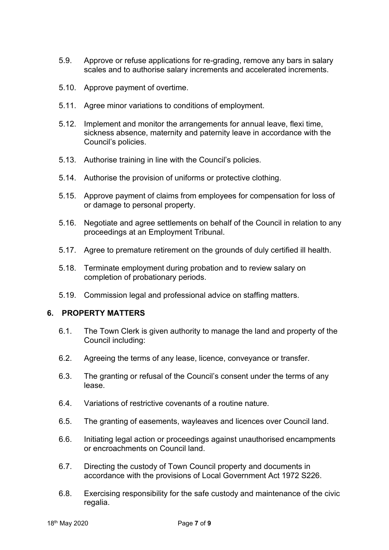- 5.9. Approve or refuse applications for re-grading, remove any bars in salary scales and to authorise salary increments and accelerated increments.
- 5.10. Approve payment of overtime.
- 5.11. Agree minor variations to conditions of employment.
- 5.12. Implement and monitor the arrangements for annual leave, flexi time, sickness absence, maternity and paternity leave in accordance with the Council's policies.
- 5.13. Authorise training in line with the Council's policies.
- 5.14. Authorise the provision of uniforms or protective clothing.
- 5.15. Approve payment of claims from employees for compensation for loss of or damage to personal property.
- 5.16. Negotiate and agree settlements on behalf of the Council in relation to any proceedings at an Employment Tribunal.
- 5.17. Agree to premature retirement on the grounds of duly certified ill health.
- 5.18. Terminate employment during probation and to review salary on completion of probationary periods.
- 5.19. Commission legal and professional advice on staffing matters.

#### **6. PROPERTY MATTERS**

- 6.1. The Town Clerk is given authority to manage the land and property of the Council including:
- 6.2. Agreeing the terms of any lease, licence, conveyance or transfer.
- 6.3. The granting or refusal of the Council's consent under the terms of any lease.
- 6.4. Variations of restrictive covenants of a routine nature.
- 6.5. The granting of easements, wayleaves and licences over Council land.
- 6.6. Initiating legal action or proceedings against unauthorised encampments or encroachments on Council land.
- 6.7. Directing the custody of Town Council property and documents in accordance with the provisions of Local Government Act 1972 S226.
- 6.8. Exercising responsibility for the safe custody and maintenance of the civic regalia.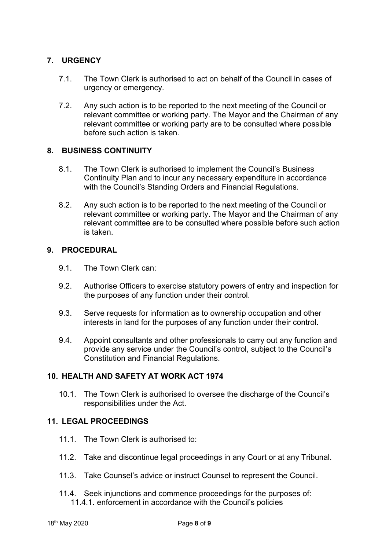### **7. URGENCY**

- 7.1. The Town Clerk is authorised to act on behalf of the Council in cases of urgency or emergency.
- 7.2. Any such action is to be reported to the next meeting of the Council or relevant committee or working party. The Mayor and the Chairman of any relevant committee or working party are to be consulted where possible before such action is taken.

#### **8. BUSINESS CONTINUITY**

- 8.1. The Town Clerk is authorised to implement the Council's Business Continuity Plan and to incur any necessary expenditure in accordance with the Council's Standing Orders and Financial Regulations.
- 8.2. Any such action is to be reported to the next meeting of the Council or relevant committee or working party. The Mayor and the Chairman of any relevant committee are to be consulted where possible before such action is taken.

#### **9. PROCEDURAL**

- 9.1. The Town Clerk can:
- 9.2. Authorise Officers to exercise statutory powers of entry and inspection for the purposes of any function under their control.
- 9.3. Serve requests for information as to ownership occupation and other interests in land for the purposes of any function under their control.
- 9.4. Appoint consultants and other professionals to carry out any function and provide any service under the Council's control, subject to the Council's Constitution and Financial Regulations.

#### **10. HEALTH AND SAFETY AT WORK ACT 1974**

10.1. The Town Clerk is authorised to oversee the discharge of the Council's responsibilities under the Act.

#### **11. LEGAL PROCEEDINGS**

- 11.1. The Town Clerk is authorised to:
- 11.2. Take and discontinue legal proceedings in any Court or at any Tribunal.
- 11.3. Take Counsel's advice or instruct Counsel to represent the Council.
- 11.4. Seek injunctions and commence proceedings for the purposes of: 11.4.1. enforcement in accordance with the Council's policies